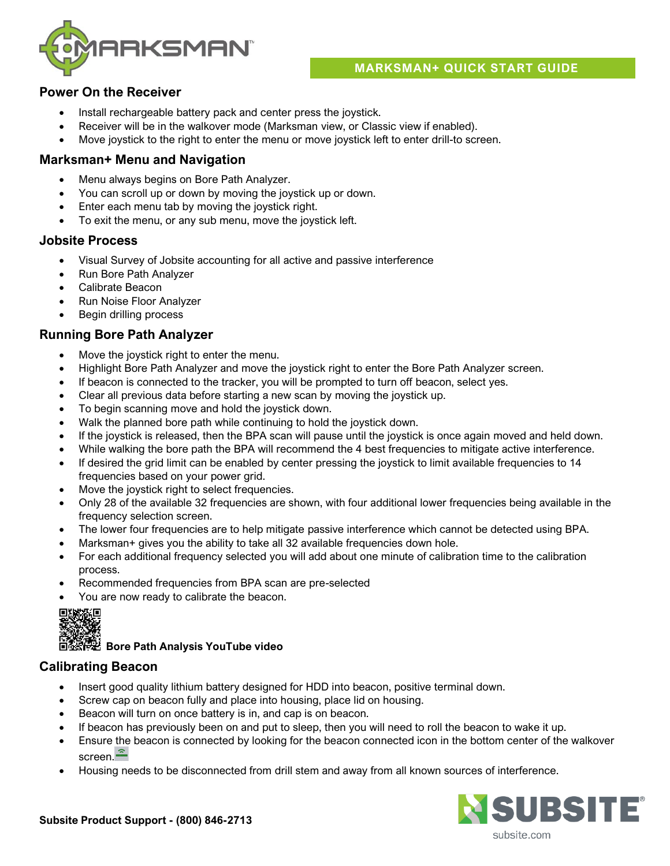

## **MARKSMAN+ QUICK START GUIDE**

## **Power On the Receiver**

- Install rechargeable battery pack and center press the joystick.
- Receiver will be in the walkover mode (Marksman view, or Classic view if enabled).
- Move joystick to the right to enter the menu or move joystick left to enter drill-to screen.

### **Marksman+ Menu and Navigation**

- Menu always begins on Bore Path Analyzer.
- You can scroll up or down by moving the joystick up or down.
- Enter each menu tab by moving the joystick right.
- To exit the menu, or any sub menu, move the joystick left.

## **Jobsite Process**

- Visual Survey of Jobsite accounting for all active and passive interference
- Run Bore Path Analyzer
- Calibrate Beacon
- Run Noise Floor Analyzer
- Begin drilling process

## **Running Bore Path Analyzer**

- Move the joystick right to enter the menu.
- Highlight Bore Path Analyzer and move the joystick right to enter the Bore Path Analyzer screen.
- If beacon is connected to the tracker, you will be prompted to turn off beacon, select yes.
- Clear all previous data before starting a new scan by moving the joystick up.
- To begin scanning move and hold the joystick down.
- Walk the planned bore path while continuing to hold the joystick down.
- If the joystick is released, then the BPA scan will pause until the joystick is once again moved and held down.
- While walking the bore path the BPA will recommend the 4 best frequencies to mitigate active interference.
- If desired the grid limit can be enabled by center pressing the joystick to limit available frequencies to 14 frequencies based on your power grid.
- Move the joystick right to select frequencies.
- Only 28 of the available 32 frequencies are shown, with four additional lower frequencies being available in the frequency selection screen.
- The lower four frequencies are to help mitigate passive interference which cannot be detected using BPA.
- Marksman+ gives you the ability to take all 32 available frequencies down hole.
- For each additional frequency selected you will add about one minute of calibration time to the calibration process.
- Recommended frequencies from BPA scan are pre-selected
- You are now ready to calibrate the beacon.



# **Bore Path Analysis YouTube video**

## **Calibrating Beacon**

- Insert good quality lithium battery designed for HDD into beacon, positive terminal down.
- Screw cap on beacon fully and place into housing, place lid on housing.
- Beacon will turn on once battery is in, and cap is on beacon.
- If beacon has previously been on and put to sleep, then you will need to roll the beacon to wake it up.
- Ensure the beacon is connected by looking for the beacon connected icon in the bottom center of the walkover screen.<sup>2</sup>
- Housing needs to be disconnected from drill stem and away from all known sources of interference.